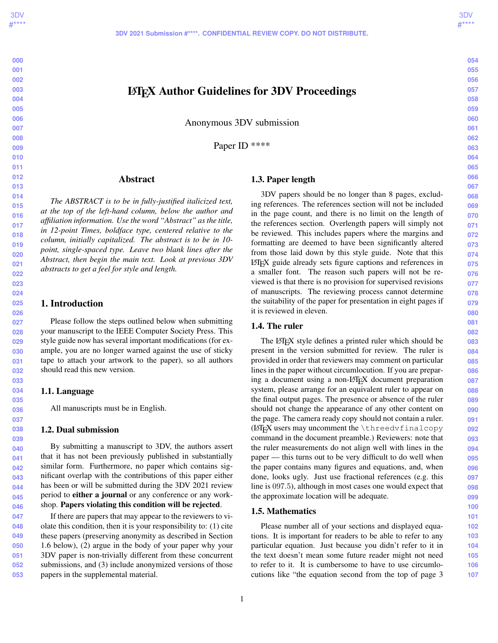# LATEX Author Guidelines for 3DV Proceedings

Anonymous 3DV submission

Paper ID \*\*\*\*

### Abstract

*The ABSTRACT is to be in fully-justified italicized text, at the top of the left-hand column, below the author and affiliation information. Use the word "Abstract" as the title, in 12-point Times, boldface type, centered relative to the column, initially capitalized. The abstract is to be in 10 point, single-spaced type. Leave two blank lines after the Abstract, then begin the main text. Look at previous 3DV abstracts to get a feel for style and length.*

### 1. Introduction

Please follow the steps outlined below when submitting your manuscript to the IEEE Computer Society Press. This style guide now has several important modifications (for example, you are no longer warned against the use of sticky tape to attach your artwork to the paper), so all authors should read this new version.

#### 1.1. Language

All manuscripts must be in English.

#### 1.2. Dual submission

By submitting a manuscript to 3DV, the authors assert that it has not been previously published in substantially similar form. Furthermore, no paper which contains significant overlap with the contributions of this paper either has been or will be submitted during the 3DV 2021 review period to either a journal or any conference or any workshop. Papers violating this condition will be rejected.

**048 049 050 051 052 053** If there are papers that may appear to the reviewers to violate this condition, then it is your responsibility to: (1) cite these papers (preserving anonymity as described in Section 1.6 below), (2) argue in the body of your paper why your 3DV paper is non-trivially different from these concurrent submissions, and (3) include anonymized versions of those papers in the supplemental material.

#### 1.3. Paper length

3DV papers should be no longer than 8 pages, excluding references. The references section will not be included in the page count, and there is no limit on the length of the references section. Overlength papers will simply not be reviewed. This includes papers where the margins and formatting are deemed to have been significantly altered from those laid down by this style guide. Note that this LATEX guide already sets figure captions and references in a smaller font. The reason such papers will not be reviewed is that there is no provision for supervised revisions of manuscripts. The reviewing process cannot determine the suitability of the paper for presentation in eight pages if it is reviewed in eleven.

### 1.4. The ruler

The LAT<sub>EX</sub> style defines a printed ruler which should be present in the version submitted for review. The ruler is provided in order that reviewers may comment on particular lines in the paper without circumlocution. If you are preparing a document using a non-L<sup>AT</sup>EX document preparation system, please arrange for an equivalent ruler to appear on the final output pages. The presence or absence of the ruler should not change the appearance of any other content on the page. The camera ready copy should not contain a ruler. (LATEX users may uncomment the \threedvfinalcopy command in the document preamble.) Reviewers: note that the ruler measurements do not align well with lines in the paper — this turns out to be very difficult to do well when the paper contains many figures and equations, and, when done, looks ugly. Just use fractional references (e.g. this line is 097.5), although in most cases one would expect that the approximate location will be adequate.

#### 1.5. Mathematics

Please number all of your sections and displayed equations. It is important for readers to be able to refer to any particular equation. Just because you didn't refer to it in the text doesn't mean some future reader might not need to refer to it. It is cumbersome to have to use circumlocutions like "the equation second from the top of page 3

## **054 055**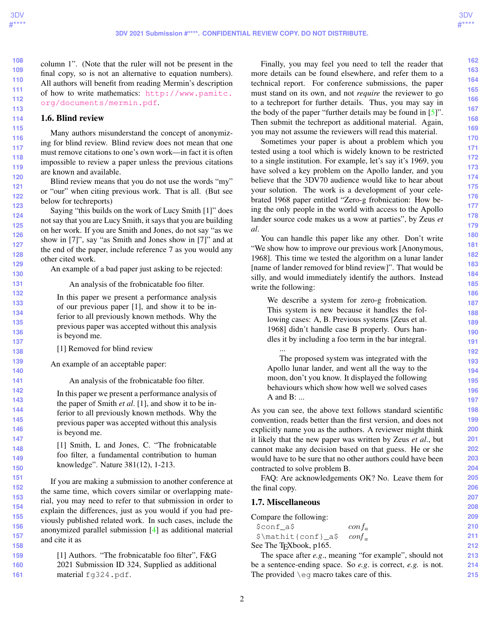**214 215**

<span id="page-1-0"></span>**108** column 1". (Note that the ruler will not be present in the final copy, so is not an alternative to equation numbers). All authors will benefit from reading Mermin's description of how to write mathematics: [http://www.pamitc.](http://www.pamitc.org/documents/mermin.pdf) [org/documents/mermin.pdf](http://www.pamitc.org/documents/mermin.pdf).

### 1.6. Blind review

Many authors misunderstand the concept of anonymizing for blind review. Blind review does not mean that one must remove citations to one's own work—in fact it is often impossible to review a paper unless the previous citations are known and available.

Blind review means that you do not use the words "my" or "our" when citing previous work. That is all. (But see below for techreports)

Saying "this builds on the work of Lucy Smith [1]" does not say that you are Lucy Smith, it says that you are building on her work. If you are Smith and Jones, do not say "as we show in [7]", say "as Smith and Jones show in [7]" and at the end of the paper, include reference 7 as you would any other cited work.

An example of a bad paper just asking to be rejected:

#### An analysis of the frobnicatable foo filter.

In this paper we present a performance analysis of our previous paper [1], and show it to be inferior to all previously known methods. Why the previous paper was accepted without this analysis is beyond me.

[1] Removed for blind review

An example of an acceptable paper:

An analysis of the frobnicatable foo filter.

In this paper we present a performance analysis of the paper of Smith *et al*. [1], and show it to be inferior to all previously known methods. Why the previous paper was accepted without this analysis is beyond me.

[1] Smith, L and Jones, C. "The frobnicatable foo filter, a fundamental contribution to human knowledge". Nature 381(12), 1-213.

If you are making a submission to another conference at the same time, which covers similar or overlapping material, you may need to refer to that submission in order to explain the differences, just as you would if you had previously published related work. In such cases, include the anonymized parallel submission [\[4\]](#page-3-0) as additional material and cite it as

[1] Authors. "The frobnicatable foo filter", F&G 2021 Submission ID 324, Supplied as additional material fg324.pdf.

Finally, you may feel you need to tell the reader that more details can be found elsewhere, and refer them to a technical report. For conference submissions, the paper must stand on its own, and not *require* the reviewer to go to a techreport for further details. Thus, you may say in the body of the paper "further details may be found in [\[5\]](#page-3-1)". Then submit the techreport as additional material. Again, you may not assume the reviewers will read this material.

Sometimes your paper is about a problem which you tested using a tool which is widely known to be restricted to a single institution. For example, let's say it's 1969, you have solved a key problem on the Apollo lander, and you believe that the 3DV70 audience would like to hear about your solution. The work is a development of your celebrated 1968 paper entitled "Zero-g frobnication: How being the only people in the world with access to the Apollo lander source code makes us a wow at parties", by Zeus *et al*.

You can handle this paper like any other. Don't write "We show how to improve our previous work [Anonymous, 1968]. This time we tested the algorithm on a lunar lander [name of lander removed for blind review]". That would be silly, and would immediately identify the authors. Instead write the following:

We describe a system for zero-g frobnication. This system is new because it handles the following cases: A, B. Previous systems [Zeus et al. 1968] didn't handle case B properly. Ours handles it by including a foo term in the bar integral. ...

The proposed system was integrated with the Apollo lunar lander, and went all the way to the moon, don't you know. It displayed the following behaviours which show how well we solved cases A and B: ...

As you can see, the above text follows standard scientific convention, reads better than the first version, and does not explicitly name you as the authors. A reviewer might think it likely that the new paper was written by Zeus *et al*., but cannot make any decision based on that guess. He or she would have to be sure that no other authors could have been contracted to solve problem B.

FAQ: Are acknowledgements OK? No. Leave them for the final copy.

### 1.7. Miscellaneous

| Compare the following:              |                                                         | 209 |
|-------------------------------------|---------------------------------------------------------|-----|
| \$conf a\$                          | $\cot f_a$                                              | 210 |
| \$\mathit{conf}_a\$                 | $\text{conf}_{\alpha}$                                  | 211 |
| See The T <sub>E</sub> Xbook, p165. |                                                         | 212 |
|                                     | The space after e.g., meaning "for example", should not |     |

The space after *e.g*., meaning "for example", should not be a sentence-ending space. So *e.g*. is correct, *e.g.* is not. The provided \eg macro takes care of this.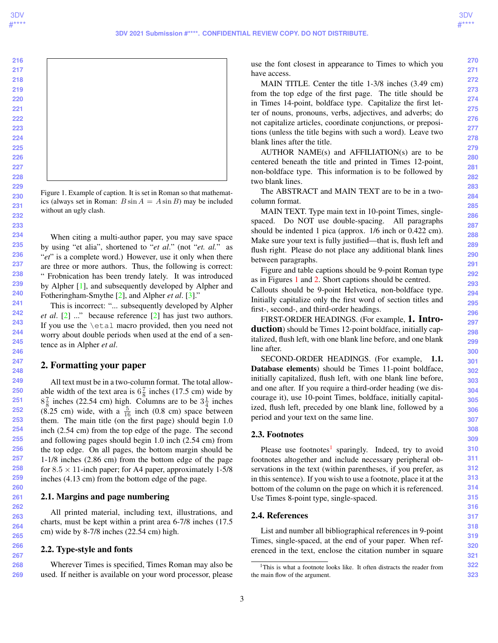**268 269**

<span id="page-2-2"></span>

Figure 1. Example of caption. It is set in Roman so that mathematics (always set in Roman:  $B \sin A = A \sin B$ ) may be included without an ugly clash.

<span id="page-2-0"></span>When citing a multi-author paper, you may save space by using "et alia", shortened to "*et al*." (not "*et. al.*" as "*et*" is a complete word.) However, use it only when there are three or more authors. Thus, the following is correct: " Frobnication has been trendy lately. It was introduced by Alpher [\[1\]](#page-3-2), and subsequently developed by Alpher and Fotheringham-Smythe [\[2\]](#page-3-3), and Alpher *et al*. [\[3\]](#page-3-4)."

This is incorrect: "... subsequently developed by Alpher *et al*. [\[2\]](#page-3-3) ..." because reference [\[2\]](#page-3-3) has just two authors. If you use the \etal macro provided, then you need not worry about double periods when used at the end of a sentence as in Alpher *et al*.

### 2. Formatting your paper

All text must be in a two-column format. The total allowable width of the text area is  $6\frac{7}{8}$  inches (17.5 cm) wide by  $8\frac{7}{8}$  inches (22.54 cm) high. Columns are to be  $3\frac{1}{4}$  inches  $(8.25 \text{ cm})$  wide, with a  $\frac{5}{16}$  inch  $(0.8 \text{ cm})$  space between them. The main title (on the first page) should begin 1.0 inch (2.54 cm) from the top edge of the page. The second and following pages should begin 1.0 inch (2.54 cm) from the top edge. On all pages, the bottom margin should be 1-1/8 inches (2.86 cm) from the bottom edge of the page for  $8.5 \times 11$ -inch paper; for A4 paper, approximately 1-5/8 inches (4.13 cm) from the bottom edge of the page.

#### 2.1. Margins and page numbering

All printed material, including text, illustrations, and charts, must be kept within a print area 6-7/8 inches (17.5 cm) wide by 8-7/8 inches (22.54 cm) high.

#### 2.2. Type-style and fonts

Wherever Times is specified, Times Roman may also be used. If neither is available on your word processor, please use the font closest in appearance to Times to which you have access.

MAIN TITLE. Center the title 1-3/8 inches (3.49 cm) from the top edge of the first page. The title should be in Times 14-point, boldface type. Capitalize the first letter of nouns, pronouns, verbs, adjectives, and adverbs; do not capitalize articles, coordinate conjunctions, or prepositions (unless the title begins with such a word). Leave two blank lines after the title.

AUTHOR NAME(s) and AFFILIATION(s) are to be centered beneath the title and printed in Times 12-point, non-boldface type. This information is to be followed by two blank lines.

The ABSTRACT and MAIN TEXT are to be in a twocolumn format.

MAIN TEXT. Type main text in 10-point Times, singlespaced. Do NOT use double-spacing. All paragraphs should be indented 1 pica (approx. 1/6 inch or 0.422 cm). Make sure your text is fully justified—that is, flush left and flush right. Please do not place any additional blank lines between paragraphs.

Figure and table captions should be 9-point Roman type as in Figures [1](#page-2-0) and [2.](#page-3-5) Short captions should be centred. Callouts should be 9-point Helvetica, non-boldface type. Initially capitalize only the first word of section titles and first-, second-, and third-order headings.

FIRST-ORDER HEADINGS. (For example, 1. Introduction) should be Times 12-point boldface, initially capitalized, flush left, with one blank line before, and one blank line after.

SECOND-ORDER HEADINGS. (For example, 1.1. Database elements) should be Times 11-point boldface, initially capitalized, flush left, with one blank line before, and one after. If you require a third-order heading (we discourage it), use 10-point Times, boldface, initially capitalized, flush left, preceded by one blank line, followed by a period and your text on the same line.

#### 2.3. Footnotes

Please use footnotes<sup>[1](#page-2-1)</sup> sparingly. Indeed, try to avoid footnotes altogether and include necessary peripheral observations in the text (within parentheses, if you prefer, as in this sentence). If you wish to use a footnote, place it at the bottom of the column on the page on which it is referenced. Use Times 8-point type, single-spaced.

#### 2.4. References

List and number all bibliographical references in 9-point Times, single-spaced, at the end of your paper. When referenced in the text, enclose the citation number in square

<span id="page-2-1"></span><sup>&</sup>lt;sup>1</sup>This is what a footnote looks like. It often distracts the reader from the main flow of the argument.